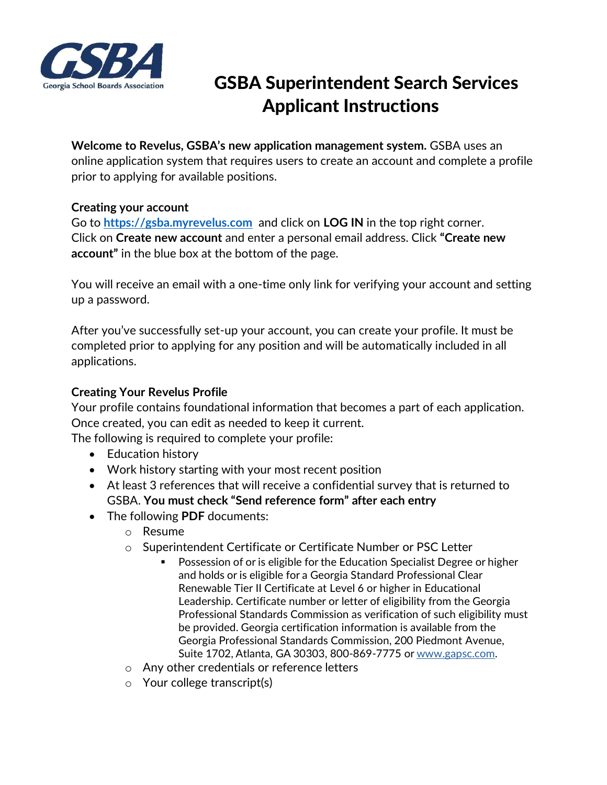

# GSBA Superintendent Search Services Applicant Instructions

## **Welcome to Revelus, GSBA's new application management system.** GSBA uses an

online application system that requires users to create an account and complete a profile prior to applying for available positions.

#### **Creating your account**

Go to **[https://gsba.myrevelus.com](https://gsba.myrevelus.com/)** and click on **LOG IN** in the top right corner. Click on **Create new account** and enter a personal email address. Click **"Create new account"** in the blue box at the bottom of the page.

You will receive an email with a one-time only link for verifying your account and setting up a password.

After you've successfully set-up your account, you can create your profile. It must be completed prior to applying for any position and will be automatically included in all applications.

### **Creating Your Revelus Profile**

Your profile contains foundational information that becomes a part of each application. Once created, you can edit as needed to keep it current.

The following is required to complete your profile:

- Education history
- Work history starting with your most recent position
- At least 3 references that will receive a confidential survey that is returned to GSBA. **You must check "Send reference form" after each entry**
- The following **PDF** documents:
	- o Resume
	- o Superintendent Certificate or Certificate Number or PSC Letter
		- Possession of or is eligible for the Education Specialist Degree or higher and holds or is eligible for a Georgia Standard Professional Clear Renewable Tier II Certificate at Level 6 or higher in Educational Leadership. Certificate number or letter of eligibility from the Georgia Professional Standards Commission as verification of such eligibility must be provided. Georgia certification information is available from the Georgia Professional Standards Commission, 200 Piedmont Avenue, Suite 1702, Atlanta, GA 30303, 800-869-7775 or [www.gapsc.com.](http://www.gapsc.com/)
	- o Any other credentials or reference letters
	- o Your college transcript(s)